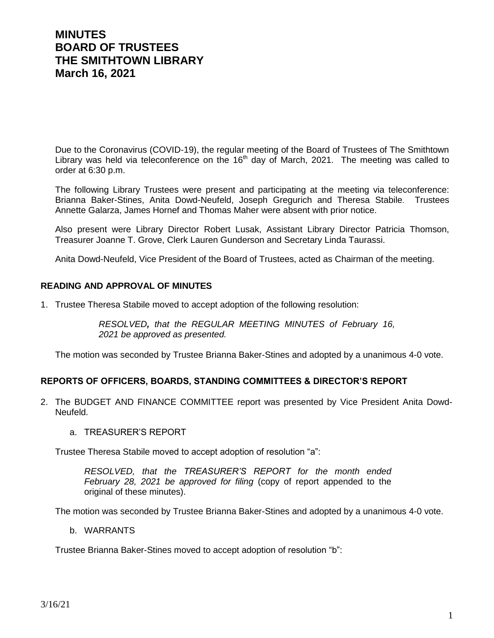### **MINUTES BOARD OF TRUSTEES THE SMITHTOWN LIBRARY March 16, 2021**

Due to the Coronavirus (COVID-19), the regular meeting of the Board of Trustees of The Smithtown Library was held via teleconference on the  $16<sup>th</sup>$  day of March, 2021. The meeting was called to order at 6:30 p.m.

The following Library Trustees were present and participating at the meeting via teleconference: Brianna Baker-Stines, Anita Dowd-Neufeld, Joseph Gregurich and Theresa Stabile. Trustees Annette Galarza, James Hornef and Thomas Maher were absent with prior notice.

Also present were Library Director Robert Lusak, Assistant Library Director Patricia Thomson, Treasurer Joanne T. Grove, Clerk Lauren Gunderson and Secretary Linda Taurassi.

Anita Dowd-Neufeld, Vice President of the Board of Trustees, acted as Chairman of the meeting.

### **READING AND APPROVAL OF MINUTES**

1. Trustee Theresa Stabile moved to accept adoption of the following resolution:

*RESOLVED, that the REGULAR MEETING MINUTES of February 16, 2021 be approved as presented.*

The motion was seconded by Trustee Brianna Baker-Stines and adopted by a unanimous 4-0 vote.

### **REPORTS OF OFFICERS, BOARDS, STANDING COMMITTEES & DIRECTOR'S REPORT**

- 2. The BUDGET AND FINANCE COMMITTEE report was presented by Vice President Anita Dowd-Neufeld.
	- a. TREASURER'S REPORT

Trustee Theresa Stabile moved to accept adoption of resolution "a":

*RESOLVED, that the TREASURER'S REPORT for the month ended February 28, 2021 be approved for filing* (copy of report appended to the original of these minutes).

The motion was seconded by Trustee Brianna Baker-Stines and adopted by a unanimous 4-0 vote.

b. WARRANTS

Trustee Brianna Baker-Stines moved to accept adoption of resolution "b":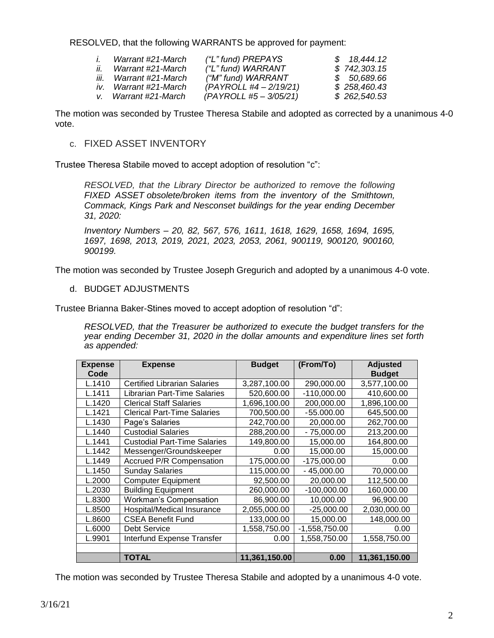RESOLVED, that the following WARRANTS be approved for payment:

| $\mathbf{L}$ | Warrant #21-March     | ("L" fund) PREPAYS       | \$18,444.12  |
|--------------|-----------------------|--------------------------|--------------|
| ii.          | Warrant #21-March     | ("L" fund) WARRANT       | \$742,303.15 |
| iii.         | Warrant #21-March     | ("M" fund) WARRANT       | \$50,689.66  |
|              | iv. Warrant #21-March | $(PAYROLL #4 - 2/19/21)$ | \$258,460.43 |
|              | v. Warrant #21-March  | (PAYROLL #5 - 3/05/21)   | \$262,540.53 |

The motion was seconded by Trustee Theresa Stabile and adopted as corrected by a unanimous 4-0 vote.

c. FIXED ASSET INVENTORY

Trustee Theresa Stabile moved to accept adoption of resolution "c":

*RESOLVED, that the Library Director be authorized to remove the following FIXED ASSET obsolete/broken items from the inventory of the Smithtown, Commack, Kings Park and Nesconset buildings for the year ending December 31, 2020:*

*Inventory Numbers – 20, 82, 567, 576, 1611, 1618, 1629, 1658, 1694, 1695, 1697, 1698, 2013, 2019, 2021, 2023, 2053, 2061, 900119, 900120, 900160, 900199.*

The motion was seconded by Trustee Joseph Gregurich and adopted by a unanimous 4-0 vote.

d. BUDGET ADJUSTMENTS

Trustee Brianna Baker-Stines moved to accept adoption of resolution "d":

*RESOLVED, that the Treasurer be authorized to execute the budget transfers for the year ending December 31, 2020 in the dollar amounts and expenditure lines set forth as appended:*

| <b>Expense</b><br>Code | <b>Expense</b>                      | <b>Budget</b> | (From/To)       | <b>Adjusted</b><br><b>Budget</b> |
|------------------------|-------------------------------------|---------------|-----------------|----------------------------------|
| L.1410                 | <b>Certified Librarian Salaries</b> | 3,287,100.00  | 290,000.00      | 3,577,100.00                     |
| L.1411                 | Librarian Part-Time Salaries        | 520,600.00    | $-110,000.00$   | 410,600.00                       |
| L.1420                 | <b>Clerical Staff Salaries</b>      | 1,696,100.00  | 200,000.00      | 1,896,100.00                     |
| L.1421                 | <b>Clerical Part-Time Salaries</b>  | 700,500.00    | $-55.000.00$    | 645,500.00                       |
| L.1430                 | Page's Salaries                     | 242,700.00    | 20,000.00       | 262,700.00                       |
| L.1440                 | <b>Custodial Salaries</b>           | 288,200.00    | $-75,000.00$    | 213,200.00                       |
| L.1441                 | <b>Custodial Part-Time Salaries</b> | 149,800.00    | 15,000.00       | 164,800.00                       |
| L.1442                 | Messenger/Groundskeeper             | 0.00          | 15,000.00       | 15,000.00                        |
| L.1449                 | <b>Accrued P/R Compensation</b>     | 175,000.00    | $-175,000.00$   | 0.00                             |
| L.1450                 | <b>Sunday Salaries</b>              | 115,000.00    | $-45,000.00$    | 70,000.00                        |
| L.2000                 | <b>Computer Equipment</b>           | 92,500.00     | 20,000.00       | 112,500.00                       |
| L.2030                 | <b>Building Equipment</b>           | 260,000.00    | $-100,000.00$   | 160,000.00                       |
| L.8300                 | <b>Workman's Compensation</b>       | 86,900.00     | 10,000.00       | 96,900.00                        |
| L.8500                 | Hospital/Medical Insurance          | 2,055,000.00  | $-25,000.00$    | 2,030,000.00                     |
| L.8600                 | <b>CSEA Benefit Fund</b>            | 133,000.00    | 15,000.00       | 148,000.00                       |
| L.6000                 | <b>Debt Service</b>                 | 1,558,750.00  | $-1,558,750.00$ | 0.00                             |
| L.9901                 | Interfund Expense Transfer          | 0.00          | 1,558,750.00    | 1,558,750.00                     |
|                        |                                     |               |                 |                                  |
|                        | TOTAL                               | 11,361,150.00 | 0.00            | 11,361,150.00                    |

The motion was seconded by Trustee Theresa Stabile and adopted by a unanimous 4-0 vote.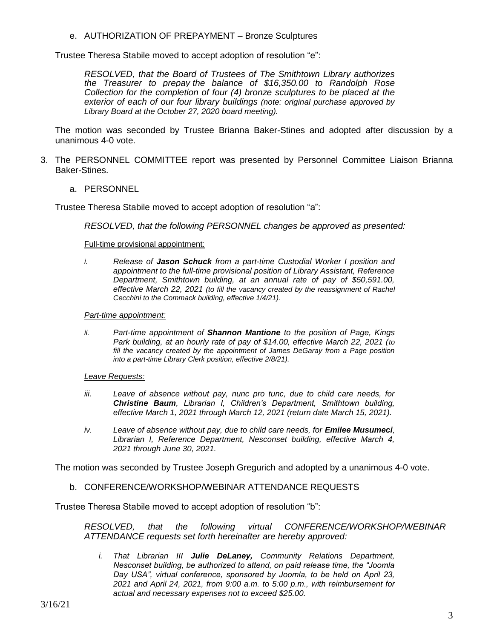e. AUTHORIZATION OF PREPAYMENT – Bronze Sculptures

Trustee Theresa Stabile moved to accept adoption of resolution "e":

*RESOLVED, that the Board of Trustees of The Smithtown Library authorizes the Treasurer to prepay the balance of \$16,350.00 to Randolph Rose Collection for the completion of four (4) bronze sculptures to be placed at the exterior of each of our four library buildings (note: original purchase approved by Library Board at the October 27, 2020 board meeting).*

The motion was seconded by Trustee Brianna Baker-Stines and adopted after discussion by a unanimous 4-0 vote.

- 3. The PERSONNEL COMMITTEE report was presented by Personnel Committee Liaison Brianna Baker-Stines.
	- a. PERSONNEL

Trustee Theresa Stabile moved to accept adoption of resolution "a":

*RESOLVED, that the following PERSONNEL changes be approved as presented:*

#### Full-time provisional appointment:

*i. Release of Jason Schuck from a part-time Custodial Worker I position and appointment to the full-time provisional position of Library Assistant, Reference Department, Smithtown building, at an annual rate of pay of \$50,591.00, effective March 22, 2021 (to fill the vacancy created by the reassignment of Rachel Cecchini to the Commack building, effective 1/4/21).*

#### *Part-time appointment:*

*ii. Part-time appointment of Shannon Mantione to the position of Page, Kings Park building, at an hourly rate of pay of \$14.00, effective March 22, 2021 (to fill the vacancy created by the appointment of James DeGaray from a Page position into a part-time Library Clerk position, effective 2/8/21).*

#### *Leave Requests:*

- *iii. Leave of absence without pay, nunc pro tunc, due to child care needs, for Christine Baum, Librarian I, Children's Department, Smithtown building, effective March 1, 2021 through March 12, 2021 (return date March 15, 2021).*
- *iv. Leave of absence without pay, due to child care needs, for <i>Emilee Musumeci*, *Librarian I, Reference Department, Nesconset building, effective March 4, 2021 through June 30, 2021.*

The motion was seconded by Trustee Joseph Gregurich and adopted by a unanimous 4-0 vote.

b. CONFERENCE/WORKSHOP/WEBINAR ATTENDANCE REQUESTS

Trustee Theresa Stabile moved to accept adoption of resolution "b":

*RESOLVED, that the following virtual CONFERENCE/WORKSHOP/WEBINAR ATTENDANCE requests set forth hereinafter are hereby approved:*

*i. That Librarian III Julie DeLaney, Community Relations Department, Nesconset building, be authorized to attend, on paid release time, the "Joomla Day USA", virtual conference, sponsored by Joomla, to be held on April 23, 2021 and April 24, 2021, from 9:00 a.m. to 5:00 p.m., with reimbursement for actual and necessary expenses not to exceed \$25.00.*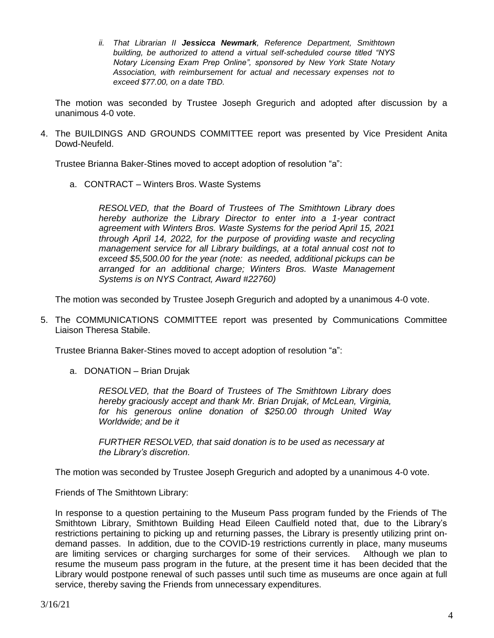*ii. That Librarian II Jessicca Newmark, Reference Department, Smithtown building, be authorized to attend a virtual self-scheduled course titled "NYS Notary Licensing Exam Prep Online", sponsored by New York State Notary Association, with reimbursement for actual and necessary expenses not to exceed \$77.00, on a date TBD.*

The motion was seconded by Trustee Joseph Gregurich and adopted after discussion by a unanimous 4-0 vote.

4. The BUILDINGS AND GROUNDS COMMITTEE report was presented by Vice President Anita Dowd-Neufeld.

Trustee Brianna Baker-Stines moved to accept adoption of resolution "a":

a. CONTRACT – Winters Bros. Waste Systems

*RESOLVED, that the Board of Trustees of The Smithtown Library does hereby authorize the Library Director to enter into a 1-year contract agreement with Winters Bros. Waste Systems for the period April 15, 2021 through April 14, 2022, for the purpose of providing waste and recycling management service for all Library buildings, at a total annual cost not to exceed \$5,500.00 for the year (note: as needed, additional pickups can be arranged for an additional charge; Winters Bros. Waste Management Systems is on NYS Contract, Award #22760)*

The motion was seconded by Trustee Joseph Gregurich and adopted by a unanimous 4-0 vote.

5. The COMMUNICATIONS COMMITTEE report was presented by Communications Committee Liaison Theresa Stabile.

Trustee Brianna Baker-Stines moved to accept adoption of resolution "a":

a. DONATION – Brian Drujak

*RESOLVED, that the Board of Trustees of The Smithtown Library does hereby graciously accept and thank Mr. Brian Drujak, of McLean, Virginia, for his generous online donation of \$250.00 through United Way Worldwide; and be it*

*FURTHER RESOLVED, that said donation is to be used as necessary at the Library's discretion.*

The motion was seconded by Trustee Joseph Gregurich and adopted by a unanimous 4-0 vote.

Friends of The Smithtown Library:

In response to a question pertaining to the Museum Pass program funded by the Friends of The Smithtown Library, Smithtown Building Head Eileen Caulfield noted that, due to the Library's restrictions pertaining to picking up and returning passes, the Library is presently utilizing print ondemand passes. In addition, due to the COVID-19 restrictions currently in place, many museums are limiting services or charging surcharges for some of their services. Although we plan to resume the museum pass program in the future, at the present time it has been decided that the Library would postpone renewal of such passes until such time as museums are once again at full service, thereby saving the Friends from unnecessary expenditures.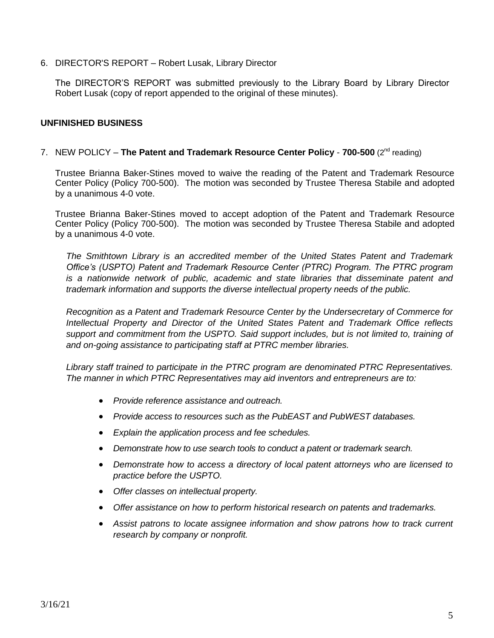6. DIRECTOR'S REPORT – Robert Lusak, Library Director

The DIRECTOR'S REPORT was submitted previously to the Library Board by Library Director Robert Lusak (copy of report appended to the original of these minutes).

### **UNFINISHED BUSINESS**

### 7. NEW POLICY – The Patent and Trademark Resource Center Policy - 700-500 (2<sup>nd</sup> reading)

Trustee Brianna Baker-Stines moved to waive the reading of the Patent and Trademark Resource Center Policy (Policy 700-500). The motion was seconded by Trustee Theresa Stabile and adopted by a unanimous 4-0 vote.

Trustee Brianna Baker-Stines moved to accept adoption of the Patent and Trademark Resource Center Policy (Policy 700-500). The motion was seconded by Trustee Theresa Stabile and adopted by a unanimous 4-0 vote.

*The Smithtown Library is an accredited member of the United States Patent and Trademark Office's (USPTO) Patent and Trademark Resource Center (PTRC) Program. The PTRC program is a nationwide network of public, academic and state libraries that disseminate patent and trademark information and supports the diverse intellectual property needs of the public.*

*Recognition as a Patent and Trademark Resource Center by the Undersecretary of Commerce for Intellectual Property and Director of the United States Patent and Trademark Office reflects support and commitment from the USPTO. Said support includes, but is not limited to, training of and on-going assistance to participating staff at PTRC member libraries.*

*Library staff trained to participate in the PTRC program are denominated PTRC Representatives. The manner in which PTRC Representatives may aid inventors and entrepreneurs are to:*

- *Provide reference assistance and outreach.*
- *Provide access to resources such as the PubEAST and PubWEST databases.*
- *Explain the application process and fee schedules.*
- *Demonstrate how to use search tools to conduct a patent or trademark search.*
- *Demonstrate how to access a directory of local patent attorneys who are licensed to practice before the USPTO.*
- *Offer classes on intellectual property.*
- *Offer assistance on how to perform historical research on patents and trademarks.*
- *Assist patrons to locate assignee information and show patrons how to track current research by company or nonprofit.*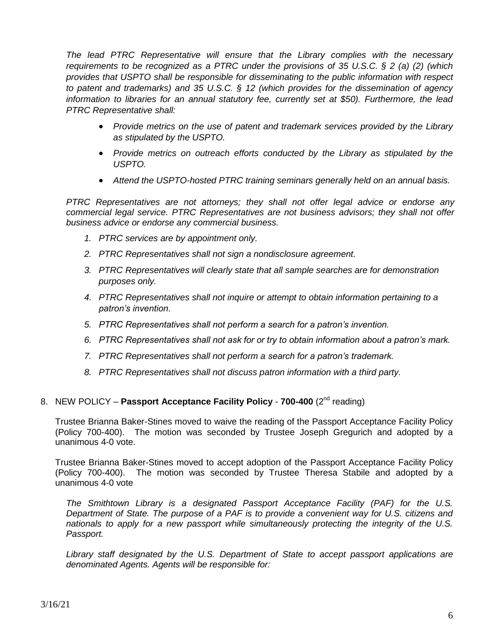*The lead PTRC Representative will ensure that the Library complies with the necessary requirements to be recognized as a PTRC under the provisions of 35 U.S.C. § 2 (a) (2) (which provides that USPTO shall be responsible for disseminating to the public information with respect to patent and trademarks) and 35 U.S.C. § 12 (which provides for the dissemination of agency information to libraries for an annual statutory fee, currently set at \$50). Furthermore, the lead PTRC Representative shall:*

- *Provide metrics on the use of patent and trademark services provided by the Library as stipulated by the USPTO.*
- *Provide metrics on outreach efforts conducted by the Library as stipulated by the USPTO.*
- *Attend the USPTO-hosted PTRC training seminars generally held on an annual basis.*

*PTRC Representatives are not attorneys; they shall not offer legal advice or endorse any commercial legal service. PTRC Representatives are not business advisors; they shall not offer business advice or endorse any commercial business.*

- *1. PTRC services are by appointment only.*
- *2. PTRC Representatives shall not sign a nondisclosure agreement.*
- *3. PTRC Representatives will clearly state that all sample searches are for demonstration purposes only.*
- *4. PTRC Representatives shall not inquire or attempt to obtain information pertaining to a patron's invention.*
- *5. PTRC Representatives shall not perform a search for a patron's invention.*
- *6. PTRC Representatives shall not ask for or try to obtain information about a patron's mark.*
- *7. PTRC Representatives shall not perform a search for a patron's trademark.*
- *8. PTRC Representatives shall not discuss patron information with a third party.*

### 8. NEW POLICY - Passport Acceptance Facility Policy - 700-400 (2<sup>nd</sup> reading)

Trustee Brianna Baker-Stines moved to waive the reading of the Passport Acceptance Facility Policy (Policy 700-400). The motion was seconded by Trustee Joseph Gregurich and adopted by a unanimous 4-0 vote.

Trustee Brianna Baker-Stines moved to accept adoption of the Passport Acceptance Facility Policy (Policy 700-400). The motion was seconded by Trustee Theresa Stabile and adopted by a unanimous 4-0 vote

*The Smithtown Library is a designated Passport Acceptance Facility (PAF) for the U.S. Department of State. The purpose of a PAF is to provide a convenient way for U.S. citizens and nationals to apply for a new passport while simultaneously protecting the integrity of the U.S. Passport.* 

*Library staff designated by the U.S. Department of State to accept passport applications are denominated Agents. Agents will be responsible for:*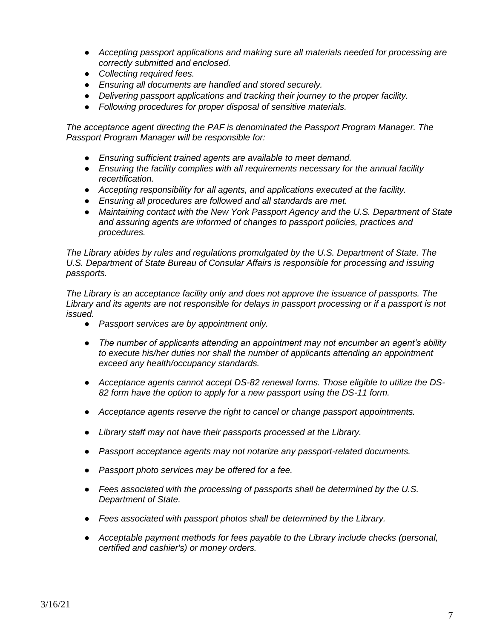- *Accepting passport applications and making sure all materials needed for processing are correctly submitted and enclosed.*
- *Collecting required fees.*
- *● Ensuring all documents are handled and stored securely.*
- *Delivering passport applications and tracking their journey to the proper facility.*
- *Following procedures for proper disposal of sensitive materials.*

*The acceptance agent directing the PAF is denominated the Passport Program Manager. The Passport Program Manager will be responsible for:* 

- *Ensuring sufficient trained agents are available to meet demand.*
- *Ensuring the facility complies with all requirements necessary for the annual facility recertification.*
- *Accepting responsibility for all agents, and applications executed at the facility.*
- *Ensuring all procedures are followed and all standards are met.*
- *Maintaining contact with the New York Passport Agency and the U.S. Department of State and assuring agents are informed of changes to passport policies, practices and procedures.*

*The Library abides by rules and regulations promulgated by the U.S. Department of State. The U.S. Department of State Bureau of Consular Affairs is responsible for processing and issuing passports.* 

*The Library is an acceptance facility only and does not approve the issuance of passports. The Library and its agents are not responsible for delays in passport processing or if a passport is not issued.* 

- *Passport services are by appointment only.*
- *The number of applicants attending an appointment may not encumber an agent's ability to execute his/her duties nor shall the number of applicants attending an appointment exceed any health/occupancy standards.*
- *Acceptance agents cannot accept DS-82 renewal forms. Those eligible to utilize the DS-82 form have the option to apply for a new passport using the DS-11 form.*
- *Acceptance agents reserve the right to cancel or change passport appointments.*
- *Library staff may not have their passports processed at the Library.*
- *Passport acceptance agents may not notarize any passport-related documents.*
- *Passport photo services may be offered for a fee.*
- *Fees associated with the processing of passports shall be determined by the U.S. Department of State.*
- *Fees associated with passport photos shall be determined by the Library.*
- *Acceptable payment methods for fees payable to the Library include checks (personal, certified and cashier's) or money orders.*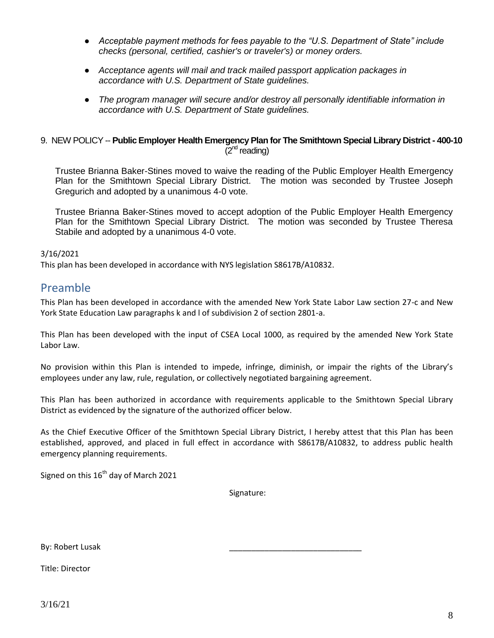- *Acceptable payment methods for fees payable to the "U.S. Department of State" include checks (personal, certified, cashier's or traveler's) or money orders.*
- *Acceptance agents will mail and track mailed passport application packages in accordance with U.S. Department of State guidelines.*
- *The program manager will secure and/or destroy all personally identifiable information in accordance with U.S. Department of State guidelines.*

### 9. NEW POLICY -- **Public Employer Health Emergency Plan for The Smithtown Special Library District - 400-10**  $(2<sup>nd</sup>$  reading)

Trustee Brianna Baker-Stines moved to waive the reading of the Public Employer Health Emergency Plan for the Smithtown Special Library District. The motion was seconded by Trustee Joseph Gregurich and adopted by a unanimous 4-0 vote.

Trustee Brianna Baker-Stines moved to accept adoption of the Public Employer Health Emergency Plan for the Smithtown Special Library District. The motion was seconded by Trustee Theresa Stabile and adopted by a unanimous 4-0 vote.

### 3/16/2021

<span id="page-7-0"></span>This plan has been developed in accordance with NYS legislation S8617B/A10832.

### Preamble

This Plan has been developed in accordance with the amended New York State Labor Law section 27-c and New York State Education Law paragraphs k and l of subdivision 2 of section 2801-a.

This Plan has been developed with the input of CSEA Local 1000, as required by the amended New York State Labor Law.

No provision within this Plan is intended to impede, infringe, diminish, or impair the rights of the Library's employees under any law, rule, regulation, or collectively negotiated bargaining agreement.

This Plan has been authorized in accordance with requirements applicable to the Smithtown Special Library District as evidenced by the signature of the authorized officer below.

As the Chief Executive Officer of the Smithtown Special Library District, I hereby attest that this Plan has been established, approved, and placed in full effect in accordance with S8617B/A10832, to address public health emergency planning requirements.

Signed on this  $16<sup>th</sup>$  day of March 2021

Signature:

\_\_\_\_\_\_\_\_\_\_\_\_\_\_\_\_\_\_\_\_\_\_\_\_\_\_\_\_\_\_

By: Robert Lusak

Title: Director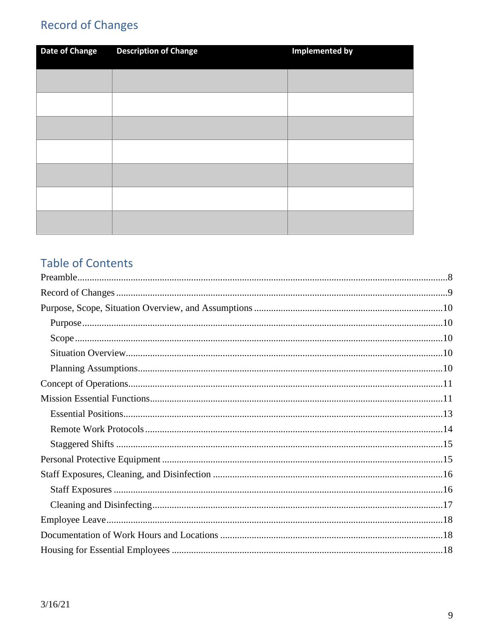# <span id="page-8-0"></span>**Record of Changes**

| <b>Date of Change</b> | <b>Description of Change</b> | <b>Implemented by</b> |
|-----------------------|------------------------------|-----------------------|
|                       |                              |                       |
|                       |                              |                       |
|                       |                              |                       |
|                       |                              |                       |
|                       |                              |                       |
|                       |                              |                       |
|                       |                              |                       |

# **Table of Contents**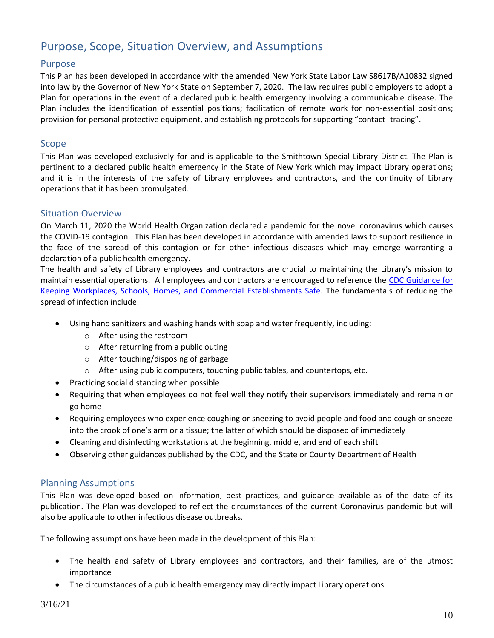# <span id="page-9-0"></span>Purpose, Scope, Situation Overview, and Assumptions

### <span id="page-9-1"></span>Purpose

This Plan has been developed in accordance with the amended New York State Labor Law S8617B/A10832 signed into law by the Governor of New York State on September 7, 2020. The law requires public employers to adopt a Plan for operations in the event of a declared public health emergency involving a communicable disease. The Plan includes the identification of essential positions; facilitation of remote work for non-essential positions; provision for personal protective equipment, and establishing protocols for supporting "contact- tracing".

### <span id="page-9-2"></span>Scope

This Plan was developed exclusively for and is applicable to the Smithtown Special Library District. The Plan is pertinent to a declared public health emergency in the State of New York which may impact Library operations; and it is in the interests of the safety of Library employees and contractors, and the continuity of Library operations that it has been promulgated.

### <span id="page-9-3"></span>Situation Overview

On March 11, 2020 the World Health Organization declared a pandemic for the novel coronavirus which causes the COVID-19 contagion. This Plan has been developed in accordance with amended laws to support resilience in the face of the spread of this contagion or for other infectious diseases which may emerge warranting a declaration of a public health emergency.

The health and safety of Library employees and contractors are crucial to maintaining the Library's mission to maintain essential operations. All employees and contractors are encouraged to reference the [CDC Guidance for](https://www.cdc.gov/coronavirus/2019-ncov/downloads/workplace-school-and-home-guidance.pdf)  [Keeping Workplaces, Schools, Homes, and Commercial Establishments Safe.](https://www.cdc.gov/coronavirus/2019-ncov/downloads/workplace-school-and-home-guidance.pdf) The fundamentals of reducing the spread of infection include:

- Using hand sanitizers and washing hands with soap and water frequently, including:
	- o After using the restroom
	- o After returning from a public outing
	- o After touching/disposing of garbage
	- o After using public computers, touching public tables, and countertops, etc.
	- Practicing social distancing when possible
- Requiring that when employees do not feel well they notify their supervisors immediately and remain or go home
- Requiring employees who experience coughing or sneezing to avoid people and food and cough or sneeze into the crook of one's arm or a tissue; the latter of which should be disposed of immediately
- Cleaning and disinfecting workstations at the beginning, middle, and end of each shift
- Observing other guidances published by the CDC, and the State or County Department of Health

### <span id="page-9-4"></span>Planning Assumptions

This Plan was developed based on information, best practices, and guidance available as of the date of its publication. The Plan was developed to reflect the circumstances of the current Coronavirus pandemic but will also be applicable to other infectious disease outbreaks.

The following assumptions have been made in the development of this Plan:

- The health and safety of Library employees and contractors, and their families, are of the utmost importance
- The circumstances of a public health emergency may directly impact Library operations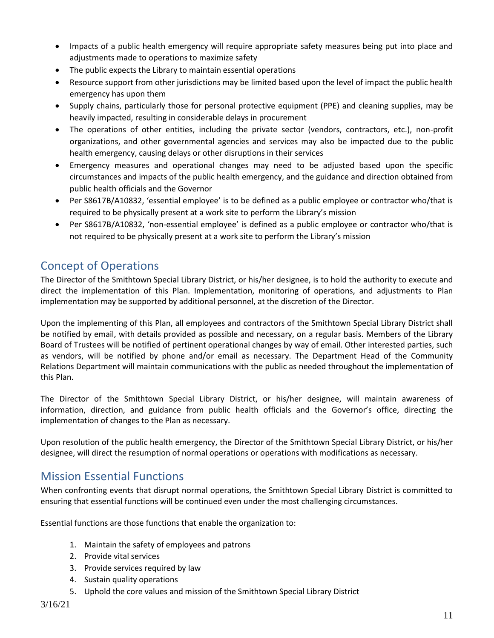- Impacts of a public health emergency will require appropriate safety measures being put into place and adjustments made to operations to maximize safety
- The public expects the Library to maintain essential operations
- Resource support from other jurisdictions may be limited based upon the level of impact the public health emergency has upon them
- Supply chains, particularly those for personal protective equipment (PPE) and cleaning supplies, may be heavily impacted, resulting in considerable delays in procurement
- The operations of other entities, including the private sector (vendors, contractors, etc.), non-profit organizations, and other governmental agencies and services may also be impacted due to the public health emergency, causing delays or other disruptions in their services
- Emergency measures and operational changes may need to be adjusted based upon the specific circumstances and impacts of the public health emergency, and the guidance and direction obtained from public health officials and the Governor
- Per S8617B/A10832, 'essential employee' is to be defined as a public employee or contractor who/that is required to be physically present at a work site to perform the Library's mission
- Per S8617B/A10832, 'non-essential employee' is defined as a public employee or contractor who/that is not required to be physically present at a work site to perform the Library's mission

# <span id="page-10-0"></span>Concept of Operations

The Director of the Smithtown Special Library District, or his/her designee, is to hold the authority to execute and direct the implementation of this Plan. Implementation, monitoring of operations, and adjustments to Plan implementation may be supported by additional personnel, at the discretion of the Director.

Upon the implementing of this Plan, all employees and contractors of the Smithtown Special Library District shall be notified by email, with details provided as possible and necessary, on a regular basis. Members of the Library Board of Trustees will be notified of pertinent operational changes by way of email. Other interested parties, such as vendors, will be notified by phone and/or email as necessary. The Department Head of the Community Relations Department will maintain communications with the public as needed throughout the implementation of this Plan.

The Director of the Smithtown Special Library District, or his/her designee, will maintain awareness of information, direction, and guidance from public health officials and the Governor's office, directing the implementation of changes to the Plan as necessary.

Upon resolution of the public health emergency, the Director of the Smithtown Special Library District, or his/her designee, will direct the resumption of normal operations or operations with modifications as necessary.

# <span id="page-10-1"></span>Mission Essential Functions

When confronting events that disrupt normal operations, the Smithtown Special Library District is committed to ensuring that essential functions will be continued even under the most challenging circumstances.

Essential functions are those functions that enable the organization to:

- 1. Maintain the safety of employees and patrons
- 2. Provide vital services
- 3. Provide services required by law
- 4. Sustain quality operations
- 5. Uphold the core values and mission of the Smithtown Special Library District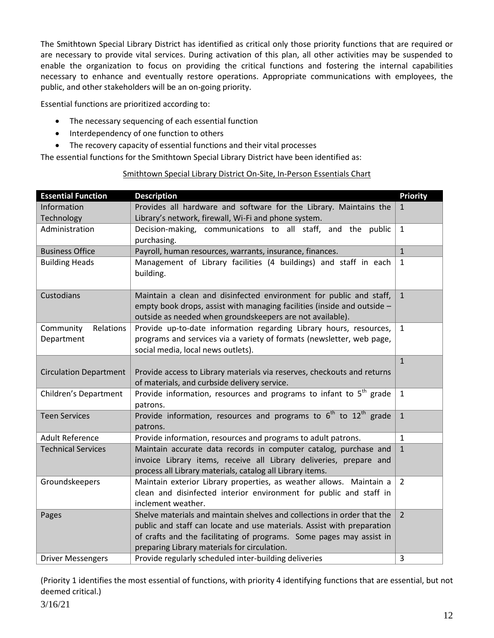The Smithtown Special Library District has identified as critical only those priority functions that are required or are necessary to provide vital services. During activation of this plan, all other activities may be suspended to enable the organization to focus on providing the critical functions and fostering the internal capabilities necessary to enhance and eventually restore operations. Appropriate communications with employees, the public, and other stakeholders will be an on-going priority.

Essential functions are prioritized according to:

- The necessary sequencing of each essential function
- Interdependency of one function to others
- The recovery capacity of essential functions and their vital processes

The essential functions for the Smithtown Special Library District have been identified as:

| <b>Essential Function</b>     | <b>Description</b>                                                             | <b>Priority</b> |
|-------------------------------|--------------------------------------------------------------------------------|-----------------|
| Information                   | Provides all hardware and software for the Library. Maintains the              |                 |
| Technology                    | Library's network, firewall, Wi-Fi and phone system.                           |                 |
| Administration                | Decision-making, communications to all staff, and the public                   | $\mathbf{1}$    |
|                               | purchasing.                                                                    |                 |
| <b>Business Office</b>        | Payroll, human resources, warrants, insurance, finances.                       | $\mathbf{1}$    |
| <b>Building Heads</b>         | Management of Library facilities (4 buildings) and staff in each               | $\mathbf{1}$    |
|                               | building.                                                                      |                 |
|                               |                                                                                |                 |
| Custodians                    | Maintain a clean and disinfected environment for public and staff,             | $\mathbf{1}$    |
|                               | empty book drops, assist with managing facilities (inside and outside -        |                 |
|                               | outside as needed when groundskeepers are not available).                      |                 |
| Relations<br>Community        | Provide up-to-date information regarding Library hours, resources,             | $\mathbf{1}$    |
| Department                    | programs and services via a variety of formats (newsletter, web page,          |                 |
|                               | social media, local news outlets).                                             |                 |
|                               |                                                                                | $\mathbf{1}$    |
| <b>Circulation Department</b> | Provide access to Library materials via reserves, checkouts and returns        |                 |
|                               | of materials, and curbside delivery service.                                   |                 |
| Children's Department         | Provide information, resources and programs to infant to 5 <sup>th</sup> grade | $\mathbf{1}$    |
|                               | patrons.                                                                       |                 |
| <b>Teen Services</b>          | Provide information, resources and programs to $6th$ to $12th$ grade           | $\mathbf{1}$    |
|                               | patrons.                                                                       |                 |
| <b>Adult Reference</b>        | Provide information, resources and programs to adult patrons.                  | $\mathbf{1}$    |
| <b>Technical Services</b>     | Maintain accurate data records in computer catalog, purchase and               | $1\,$           |
|                               | invoice Library items, receive all Library deliveries, prepare and             |                 |
|                               | process all Library materials, catalog all Library items.                      |                 |
| Groundskeepers                | Maintain exterior Library properties, as weather allows. Maintain a            | $\overline{2}$  |
|                               | clean and disinfected interior environment for public and staff in             |                 |
|                               | inclement weather.                                                             |                 |
| Pages                         | Shelve materials and maintain shelves and collections in order that the        | $\overline{2}$  |
|                               | public and staff can locate and use materials. Assist with preparation         |                 |
|                               | of crafts and the facilitating of programs. Some pages may assist in           |                 |
|                               | preparing Library materials for circulation.                                   |                 |
| <b>Driver Messengers</b>      | Provide regularly scheduled inter-building deliveries                          | 3               |

### Smithtown Special Library District On-Site, In-Person Essentials Chart

(Priority 1 identifies the most essential of functions, with priority 4 identifying functions that are essential, but not deemed critical.)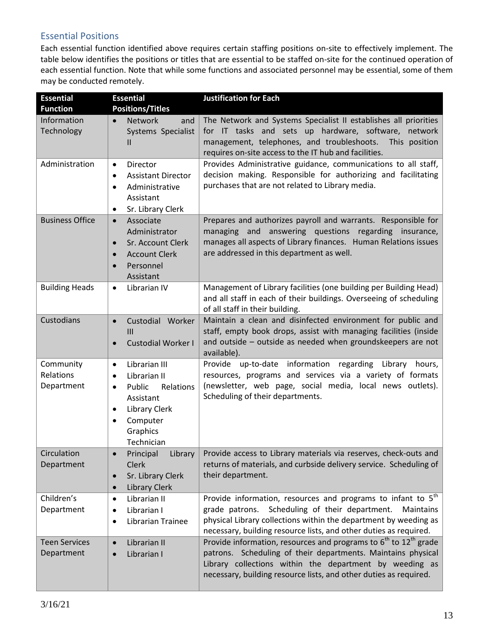### <span id="page-12-0"></span>Essential Positions

Each essential function identified above requires certain staffing positions on-site to effectively implement. The table below identifies the positions or titles that are essential to be staffed on-site for the continued operation of each essential function. Note that while some functions and associated personnel may be essential, some of them may be conducted remotely.

| <b>Essential</b><br><b>Function</b>  | <b>Essential</b><br><b>Positions/Titles</b>                                                                                                                                                      | <b>Justification for Each</b>                                                                                                                                                                                                                                                           |
|--------------------------------------|--------------------------------------------------------------------------------------------------------------------------------------------------------------------------------------------------|-----------------------------------------------------------------------------------------------------------------------------------------------------------------------------------------------------------------------------------------------------------------------------------------|
| Information<br>Technology            | <b>Network</b><br>and<br>$\bullet$<br>Systems Specialist<br>Ш                                                                                                                                    | The Network and Systems Specialist II establishes all priorities<br>for IT tasks and sets up hardware, software, network<br>management, telephones, and troubleshoots.<br>This position<br>requires on-site access to the IT hub and facilities.                                        |
| Administration                       | Director<br>$\bullet$<br><b>Assistant Director</b><br>٠<br>Administrative<br>$\bullet$<br>Assistant<br>Sr. Library Clerk<br>٠                                                                    | Provides Administrative guidance, communications to all staff,<br>decision making. Responsible for authorizing and facilitating<br>purchases that are not related to Library media.                                                                                                     |
| <b>Business Office</b>               | Associate<br>$\bullet$<br>Administrator<br>Sr. Account Clerk<br>$\bullet$<br><b>Account Clerk</b><br>$\bullet$<br>Personnel<br>$\bullet$<br>Assistant                                            | Prepares and authorizes payroll and warrants. Responsible for<br>managing and answering questions regarding insurance,<br>manages all aspects of Library finances. Human Relations issues<br>are addressed in this department as well.                                                  |
| <b>Building Heads</b>                | Librarian IV<br>$\bullet$                                                                                                                                                                        | Management of Library facilities (one building per Building Head)<br>and all staff in each of their buildings. Overseeing of scheduling<br>of all staff in their building.                                                                                                              |
| Custodians                           | Custodial Worker<br>$\bullet$<br>$\mathbf{III}$<br><b>Custodial Worker I</b><br>$\bullet$                                                                                                        | Maintain a clean and disinfected environment for public and<br>staff, empty book drops, assist with managing facilities (inside<br>and outside - outside as needed when groundskeepers are not<br>available).                                                                           |
| Community<br>Relations<br>Department | Librarian III<br>$\bullet$<br>Librarian II<br>$\bullet$<br>Public<br>Relations<br>$\bullet$<br>Assistant<br><b>Library Clerk</b><br>$\bullet$<br>Computer<br>$\bullet$<br>Graphics<br>Technician | Provide up-to-date information regarding<br>Library<br>hours,<br>resources, programs and services via a variety of formats<br>(newsletter, web page, social media, local news outlets).<br>Scheduling of their departments.                                                             |
| Circulation<br>Department            | Principal<br><b>Clerk</b><br>Sr. Library Clerk<br>$\bullet$<br><b>Library Clerk</b><br>$\bullet$                                                                                                 | Library   Provide access to Library materials via reserves, check-outs and<br>returns of materials, and curbside delivery service. Scheduling of<br>their department.                                                                                                                   |
| Children's<br>Department             | Librarian II<br>$\bullet$<br>Librarian I<br>$\bullet$<br>Librarian Trainee<br>$\bullet$                                                                                                          | Provide information, resources and programs to infant to 5 <sup>th</sup><br>grade patrons. Scheduling of their department.<br><b>Maintains</b><br>physical Library collections within the department by weeding as<br>necessary, building resource lists, and other duties as required. |
| <b>Teen Services</b><br>Department   | Librarian II<br>$\bullet$<br>Librarian I<br>$\bullet$                                                                                                                                            | Provide information, resources and programs to $6th$ to 12 <sup>th</sup> grade<br>patrons. Scheduling of their departments. Maintains physical<br>Library collections within the department by weeding as<br>necessary, building resource lists, and other duties as required.          |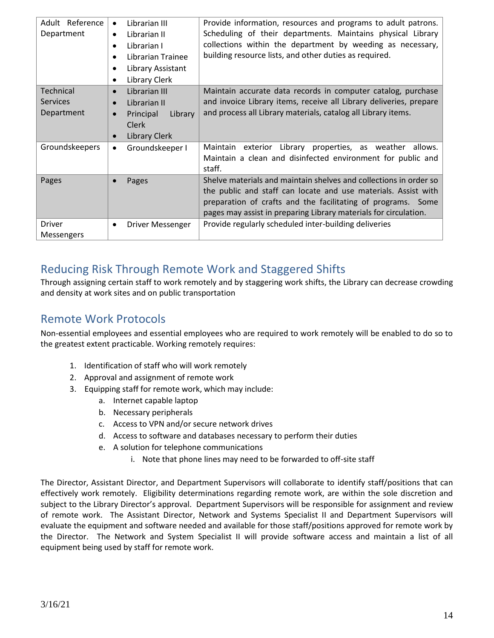| Adult Reference<br>Department              | Librarian III<br>$\bullet$<br>Librarian II<br>٠<br>Librarian I<br>٠<br>Librarian Trainee<br>$\bullet$<br>Library Assistant<br>$\bullet$<br>Library Clerk<br>٠ | Provide information, resources and programs to adult patrons.<br>Scheduling of their departments. Maintains physical Library<br>collections within the department by weeding as necessary,<br>building resource lists, and other duties as required.                    |
|--------------------------------------------|---------------------------------------------------------------------------------------------------------------------------------------------------------------|-------------------------------------------------------------------------------------------------------------------------------------------------------------------------------------------------------------------------------------------------------------------------|
| Technical<br><b>Services</b><br>Department | Librarian III<br>$\bullet$<br>Librarian II<br>$\bullet$<br>Principal<br>Library<br>$\bullet$<br><b>Clerk</b><br>Library Clerk<br>$\bullet$                    | Maintain accurate data records in computer catalog, purchase<br>and invoice Library items, receive all Library deliveries, prepare<br>and process all Library materials, catalog all Library items.                                                                     |
| Groundskeepers                             | Groundskeeper I<br>٠                                                                                                                                          | Library properties, as weather<br>Maintain exterior<br>allows.<br>Maintain a clean and disinfected environment for public and<br>staff.                                                                                                                                 |
| Pages                                      | Pages<br>$\bullet$                                                                                                                                            | Shelve materials and maintain shelves and collections in order so<br>the public and staff can locate and use materials. Assist with<br>preparation of crafts and the facilitating of programs. Some<br>pages may assist in preparing Library materials for circulation. |
| <b>Driver</b><br>Messengers                | Driver Messenger<br>٠                                                                                                                                         | Provide regularly scheduled inter-building deliveries                                                                                                                                                                                                                   |

# Reducing Risk Through Remote Work and Staggered Shifts

Through assigning certain staff to work remotely and by staggering work shifts, the Library can decrease crowding and density at work sites and on public transportation

## <span id="page-13-0"></span>Remote Work Protocols

Non-essential employees and essential employees who are required to work remotely will be enabled to do so to the greatest extent practicable. Working remotely requires:

- 1. Identification of staff who will work remotely
- 2. Approval and assignment of remote work
- 3. Equipping staff for remote work, which may include:
	- a. Internet capable laptop
	- b. Necessary peripherals
	- c. Access to VPN and/or secure network drives
	- d. Access to software and databases necessary to perform their duties
	- e. A solution for telephone communications
		- i. Note that phone lines may need to be forwarded to off-site staff

The Director, Assistant Director, and Department Supervisors will collaborate to identify staff/positions that can effectively work remotely. Eligibility determinations regarding remote work, are within the sole discretion and subject to the Library Director's approval. Department Supervisors will be responsible for assignment and review of remote work. The Assistant Director, Network and Systems Specialist II and Department Supervisors will evaluate the equipment and software needed and available for those staff/positions approved for remote work by the Director. The Network and System Specialist II will provide software access and maintain a list of all equipment being used by staff for remote work.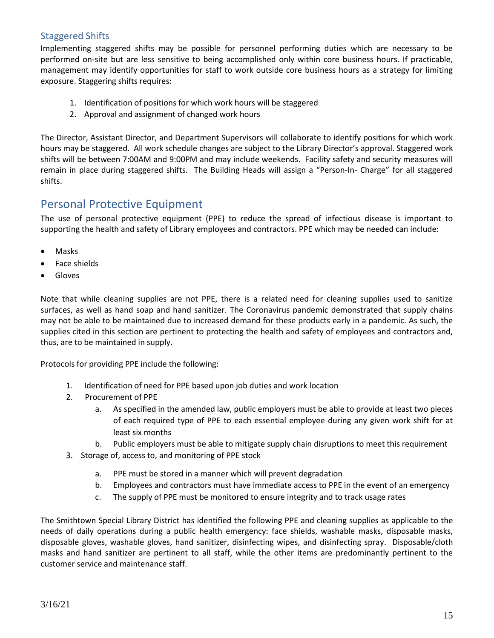### <span id="page-14-0"></span>Staggered Shifts

Implementing staggered shifts may be possible for personnel performing duties which are necessary to be performed on-site but are less sensitive to being accomplished only within core business hours. If practicable, management may identify opportunities for staff to work outside core business hours as a strategy for limiting exposure. Staggering shifts requires:

- 1. Identification of positions for which work hours will be staggered
- 2. Approval and assignment of changed work hours

The Director, Assistant Director, and Department Supervisors will collaborate to identify positions for which work hours may be staggered. All work schedule changes are subject to the Library Director's approval. Staggered work shifts will be between 7:00AM and 9:00PM and may include weekends. Facility safety and security measures will remain in place during staggered shifts. The Building Heads will assign a "Person-In- Charge" for all staggered shifts.

### <span id="page-14-1"></span>Personal Protective Equipment

The use of personal protective equipment (PPE) to reduce the spread of infectious disease is important to supporting the health and safety of Library employees and contractors. PPE which may be needed can include:

- Masks
- Face shields
- Gloves

Note that while cleaning supplies are not PPE, there is a related need for cleaning supplies used to sanitize surfaces, as well as hand soap and hand sanitizer. The Coronavirus pandemic demonstrated that supply chains may not be able to be maintained due to increased demand for these products early in a pandemic. As such, the supplies cited in this section are pertinent to protecting the health and safety of employees and contractors and, thus, are to be maintained in supply.

Protocols for providing PPE include the following:

- 1. Identification of need for PPE based upon job duties and work location
- 2. Procurement of PPE
	- a. As specified in the amended law, public employers must be able to provide at least two pieces of each required type of PPE to each essential employee during any given work shift for at least six months
	- b. Public employers must be able to mitigate supply chain disruptions to meet this requirement
- 3. Storage of, access to, and monitoring of PPE stock
	- a. PPE must be stored in a manner which will prevent degradation
	- b. Employees and contractors must have immediate access to PPE in the event of an emergency
	- c. The supply of PPE must be monitored to ensure integrity and to track usage rates

The Smithtown Special Library District has identified the following PPE and cleaning supplies as applicable to the needs of daily operations during a public health emergency: face shields, washable masks, disposable masks, disposable gloves, washable gloves, hand sanitizer, disinfecting wipes, and disinfecting spray. Disposable/cloth masks and hand sanitizer are pertinent to all staff, while the other items are predominantly pertinent to the customer service and maintenance staff.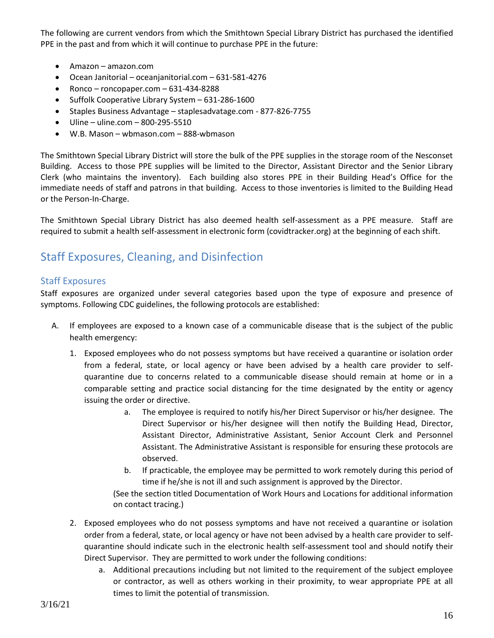The following are current vendors from which the Smithtown Special Library District has purchased the identified PPE in the past and from which it will continue to purchase PPE in the future:

- Amazon amazon.com
- Ocean Janitorial oceanjanitorial.com 631-581-4276
- $\bullet$  Ronco roncopaper.com 631-434-8288
- Suffolk Cooperative Library System 631-286-1600
- Staples Business Advantage staplesadvatage.com 877-826-7755
- $\bullet$  Uline uline.com 800-295-5510
- W.B. Mason wbmason.com 888-wbmason

The Smithtown Special Library District will store the bulk of the PPE supplies in the storage room of the Nesconset Building. Access to those PPE supplies will be limited to the Director, Assistant Director and the Senior Library Clerk (who maintains the inventory). Each building also stores PPE in their Building Head's Office for the immediate needs of staff and patrons in that building. Access to those inventories is limited to the Building Head or the Person-In-Charge.

The Smithtown Special Library District has also deemed health self-assessment as a PPE measure. Staff are required to submit a health self-assessment in electronic form (covidtracker.org) at the beginning of each shift.

# <span id="page-15-0"></span>Staff Exposures, Cleaning, and Disinfection

### <span id="page-15-1"></span>Staff Exposures

Staff exposures are organized under several categories based upon the type of exposure and presence of symptoms. Following CDC guidelines, the following protocols are established:

- A. If employees are exposed to a known case of a communicable disease that is the subject of the public health emergency:
	- 1. Exposed employees who do not possess symptoms but have received a quarantine or isolation order from a federal, state, or local agency or have been advised by a health care provider to selfquarantine due to concerns related to a communicable disease should remain at home or in a comparable setting and practice social distancing for the time designated by the entity or agency issuing the order or directive.
		- a. The employee is required to notify his/her Direct Supervisor or his/her designee. The Direct Supervisor or his/her designee will then notify the Building Head, Director, Assistant Director, Administrative Assistant, Senior Account Clerk and Personnel Assistant. The Administrative Assistant is responsible for ensuring these protocols are observed.
		- b. If practicable, the employee may be permitted to work remotely during this period of time if he/she is not ill and such assignment is approved by the Director.

(See the section titled Documentation of Work Hours and Locations for additional information on contact tracing.)

- 2. Exposed employees who do not possess symptoms and have not received a quarantine or isolation order from a federal, state, or local agency or have not been advised by a health care provider to selfquarantine should indicate such in the electronic health self-assessment tool and should notify their Direct Supervisor. They are permitted to work under the following conditions:
	- a. Additional precautions including but not limited to the requirement of the subject employee or contractor, as well as others working in their proximity, to wear appropriate PPE at all times to limit the potential of transmission.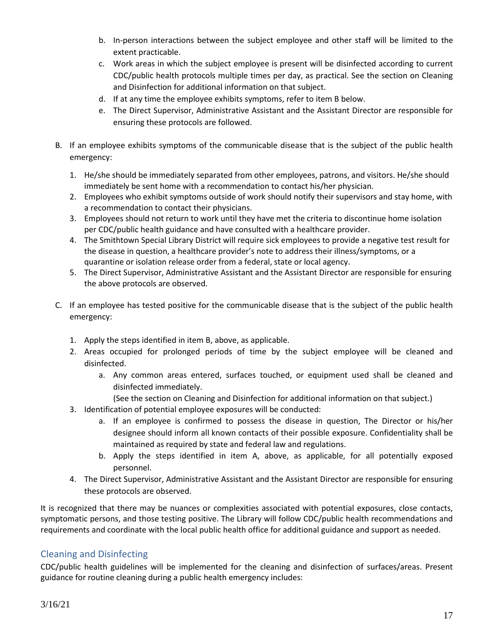- b. In-person interactions between the subject employee and other staff will be limited to the extent practicable.
- c. Work areas in which the subject employee is present will be disinfected according to current CDC/public health protocols multiple times per day, as practical. See the section on Cleaning and Disinfection for additional information on that subject.
- d. If at any time the employee exhibits symptoms, refer to item B below.
- e. The Direct Supervisor, Administrative Assistant and the Assistant Director are responsible for ensuring these protocols are followed.
- B. If an employee exhibits symptoms of the communicable disease that is the subject of the public health emergency:
	- 1. He/she should be immediately separated from other employees, patrons, and visitors. He/she should immediately be sent home with a recommendation to contact his/her physician.
	- 2. Employees who exhibit symptoms outside of work should notify their supervisors and stay home, with a recommendation to contact their physicians.
	- 3. Employees should not return to work until they have met the criteria to discontinue home isolation per CDC/public health guidance and have consulted with a healthcare provider.
	- 4. The Smithtown Special Library District will require sick employees to provide a negative test result for the disease in question, a healthcare provider's note to address their illness/symptoms, or a quarantine or isolation release order from a federal, state or local agency.
	- 5. The Direct Supervisor, Administrative Assistant and the Assistant Director are responsible for ensuring the above protocols are observed.
- C. If an employee has tested positive for the communicable disease that is the subject of the public health emergency:
	- 1. Apply the steps identified in item B, above, as applicable.
	- 2. Areas occupied for prolonged periods of time by the subject employee will be cleaned and disinfected.
		- a. Any common areas entered, surfaces touched, or equipment used shall be cleaned and disinfected immediately.
		- (See the section on Cleaning and Disinfection for additional information on that subject.)
	- 3. Identification of potential employee exposures will be conducted:
		- a. If an employee is confirmed to possess the disease in question, The Director or his/her designee should inform all known contacts of their possible exposure. Confidentiality shall be maintained as required by state and federal law and regulations.
		- b. Apply the steps identified in item A, above, as applicable, for all potentially exposed personnel.
	- 4. The Direct Supervisor, Administrative Assistant and the Assistant Director are responsible for ensuring these protocols are observed.

It is recognized that there may be nuances or complexities associated with potential exposures, close contacts, symptomatic persons, and those testing positive. The Library will follow CDC/public health recommendations and requirements and coordinate with the local public health office for additional guidance and support as needed.

### <span id="page-16-0"></span>Cleaning and Disinfecting

CDC/public health guidelines will be implemented for the cleaning and disinfection of surfaces/areas. Present guidance for routine cleaning during a public health emergency includes: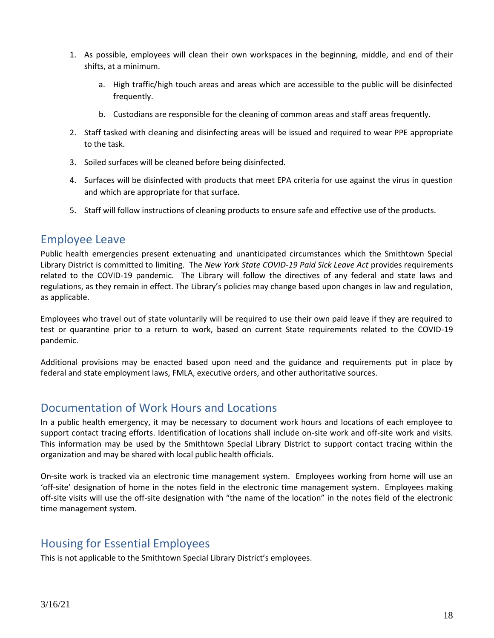- 1. As possible, employees will clean their own workspaces in the beginning, middle, and end of their shifts, at a minimum.
	- a. High traffic/high touch areas and areas which are accessible to the public will be disinfected frequently.
	- b. Custodians are responsible for the cleaning of common areas and staff areas frequently.
- 2. Staff tasked with cleaning and disinfecting areas will be issued and required to wear PPE appropriate to the task.
- 3. Soiled surfaces will be cleaned before being disinfected.
- 4. Surfaces will be disinfected with products that meet EPA criteria for use against the virus in question and which are appropriate for that surface.
- 5. Staff will follow instructions of cleaning products to ensure safe and effective use of the products.

### <span id="page-17-0"></span>Employee Leave

Public health emergencies present extenuating and unanticipated circumstances which the Smithtown Special Library District is committed to limiting. The *New York State COVID-19 Paid Sick Leave Act* provides requirements related to the COVID-19 pandemic. The Library will follow the directives of any federal and state laws and regulations, as they remain in effect. The Library's policies may change based upon changes in law and regulation, as applicable.

Employees who travel out of state voluntarily will be required to use their own paid leave if they are required to test or quarantine prior to a return to work, based on current State requirements related to the COVID-19 pandemic.

Additional provisions may be enacted based upon need and the guidance and requirements put in place by federal and state employment laws, FMLA, executive orders, and other authoritative sources.

## <span id="page-17-1"></span>Documentation of Work Hours and Locations

In a public health emergency, it may be necessary to document work hours and locations of each employee to support contact tracing efforts. Identification of locations shall include on-site work and off-site work and visits. This information may be used by the Smithtown Special Library District to support contact tracing within the organization and may be shared with local public health officials.

On-site work is tracked via an electronic time management system. Employees working from home will use an 'off-site' designation of home in the notes field in the electronic time management system. Employees making off-site visits will use the off-site designation with "the name of the location" in the notes field of the electronic time management system.

## <span id="page-17-2"></span>Housing for Essential Employees

This is not applicable to the Smithtown Special Library District's employees.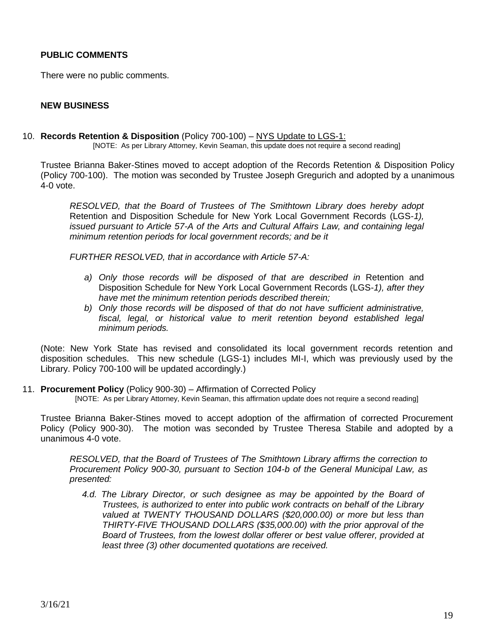### **PUBLIC COMMENTS**

There were no public comments.

### **NEW BUSINESS**

10. **Records Retention & Disposition** (Policy 700-100) – NYS Update to LGS-1:

[NOTE: As per Library Attorney, Kevin Seaman, this update does not require a second reading]

Trustee Brianna Baker-Stines moved to accept adoption of the Records Retention & Disposition Policy (Policy 700-100). The motion was seconded by Trustee Joseph Gregurich and adopted by a unanimous 4-0 vote.

*RESOLVED, that the Board of Trustees of The Smithtown Library does hereby adopt*  Retention and Disposition Schedule for New York Local Government Records (LGS-*1), issued pursuant to Article 57-A of the Arts and Cultural Affairs Law, and containing legal minimum retention periods for local government records; and be it*

*FURTHER RESOLVED, that in accordance with Article 57-A:*

- a) Only those records will be disposed of that are described in Retention and Disposition Schedule for New York Local Government Records (LGS-*1), after they have met the minimum retention periods described therein;*
- *b) Only those records will be disposed of that do not have sufficient administrative, fiscal, legal, or historical value to merit retention beyond established legal minimum periods.*

(Note: New York State has revised and consolidated its local government records retention and disposition schedules. This new schedule (LGS-1) includes MI-I, which was previously used by the Library. Policy 700-100 will be updated accordingly.)

11. **Procurement Policy** (Policy 900-30) – Affirmation of Corrected Policy

[NOTE: As per Library Attorney, Kevin Seaman, this affirmation update does not require a second reading]

Trustee Brianna Baker-Stines moved to accept adoption of the affirmation of corrected Procurement Policy (Policy 900-30). The motion was seconded by Trustee Theresa Stabile and adopted by a unanimous 4-0 vote.

*RESOLVED, that the Board of Trustees of The Smithtown Library affirms the correction to Procurement Policy 900-30, pursuant to Section 104-b of the General Municipal Law, as presented:* 

*4.d. The Library Director, or such designee as may be appointed by the Board of Trustees, is authorized to enter into public work contracts on behalf of the Library valued at TWENTY THOUSAND DOLLARS (\$20,000.00) or more but less than THIRTY-FIVE THOUSAND DOLLARS (\$35,000.00) with the prior approval of the Board of Trustees, from the lowest dollar offerer or best value offerer, provided at least three (3) other documented quotations are received.*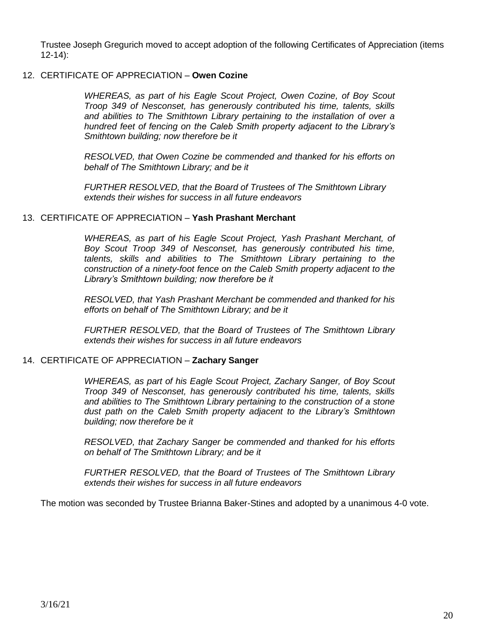Trustee Joseph Gregurich moved to accept adoption of the following Certificates of Appreciation (items 12-14):

### 12. CERTIFICATE OF APPRECIATION – **Owen Cozine**

*WHEREAS, as part of his Eagle Scout Project, Owen Cozine, of Boy Scout Troop 349 of Nesconset, has generously contributed his time, talents, skills and abilities to The Smithtown Library pertaining to the installation of over a hundred feet of fencing on the Caleb Smith property adjacent to the Library's Smithtown building; now therefore be it*

*RESOLVED, that Owen Cozine be commended and thanked for his efforts on behalf of The Smithtown Library; and be it*

*FURTHER RESOLVED, that the Board of Trustees of The Smithtown Library extends their wishes for success in all future endeavors*

### 13. CERTIFICATE OF APPRECIATION – **Yash Prashant Merchant**

*WHEREAS, as part of his Eagle Scout Project, Yash Prashant Merchant, of Boy Scout Troop 349 of Nesconset, has generously contributed his time, talents, skills and abilities to The Smithtown Library pertaining to the construction of a ninety-foot fence on the Caleb Smith property adjacent to the Library's Smithtown building; now therefore be it*

*RESOLVED, that Yash Prashant Merchant be commended and thanked for his efforts on behalf of The Smithtown Library; and be it*

*FURTHER RESOLVED, that the Board of Trustees of The Smithtown Library extends their wishes for success in all future endeavors*

#### 14. CERTIFICATE OF APPRECIATION – **Zachary Sanger**

*WHEREAS, as part of his Eagle Scout Project, Zachary Sanger, of Boy Scout Troop 349 of Nesconset, has generously contributed his time, talents, skills and abilities to The Smithtown Library pertaining to the construction of a stone dust path on the Caleb Smith property adjacent to the Library's Smithtown building; now therefore be it*

*RESOLVED, that Zachary Sanger be commended and thanked for his efforts on behalf of The Smithtown Library; and be it*

*FURTHER RESOLVED, that the Board of Trustees of The Smithtown Library extends their wishes for success in all future endeavors*

The motion was seconded by Trustee Brianna Baker-Stines and adopted by a unanimous 4-0 vote.